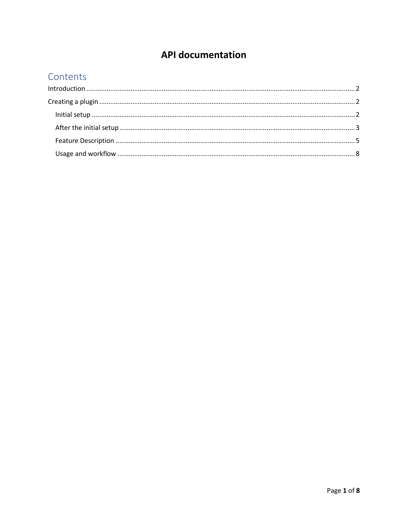# **API documentation**

## Contents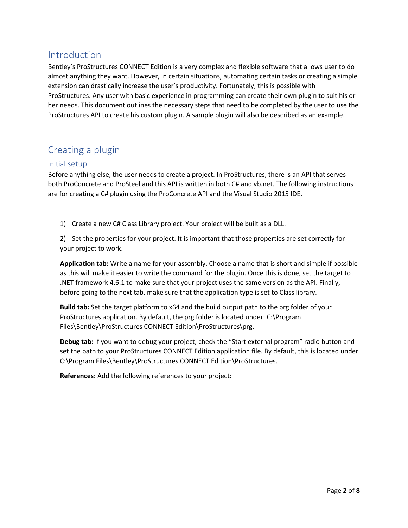## <span id="page-1-0"></span>Introduction

Bentley's ProStructures CONNECT Edition is a very complex and flexible software that allows user to do almost anything they want. However, in certain situations, automating certain tasks or creating a simple extension can drastically increase the user's productivity. Fortunately, this is possible with ProStructures. Any user with basic experience in programming can create their own plugin to suit his or her needs. This document outlines the necessary steps that need to be completed by the user to use the ProStructures API to create his custom plugin. A sample plugin will also be described as an example.

## <span id="page-1-1"></span>Creating a plugin

### <span id="page-1-2"></span>Initial setup

Before anything else, the user needs to create a project. In ProStructures, there is an API that serves both ProConcrete and ProSteel and this API is written in both C# and vb.net. The following instructions are for creating a C# plugin using the ProConcrete API and the Visual Studio 2015 IDE.

1) Create a new C# Class Library project. Your project will be built as a DLL.

2) Set the properties for your project. It is important that those properties are set correctly for your project to work.

**Application tab:** Write a name for your assembly. Choose a name that is short and simple if possible as this will make it easier to write the command for the plugin. Once this is done, set the target to .NET framework 4.6.1 to make sure that your project uses the same version as the API. Finally, before going to the next tab, make sure that the application type is set to Class library.

**Build tab:** Set the target platform to x64 and the build output path to the prg folder of your ProStructures application. By default, the prg folder is located under: C:\Program Files\Bentley\ProStructures CONNECT Edition\ProStructures\prg.

**Debug tab:** If you want to debug your project, check the "Start external program" radio button and set the path to your ProStructures CONNECT Edition application file. By default, this is located under C:\Program Files\Bentley\ProStructures CONNECT Edition\ProStructures.

**References:** Add the following references to your project: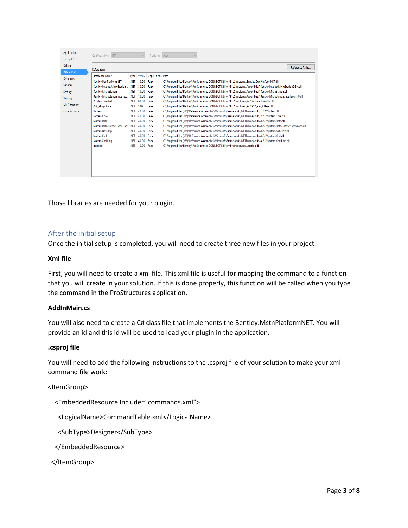| Application          | Configuration: N/A            |             |               | Platform: N/A         |                                                                                                                         |  |
|----------------------|-------------------------------|-------------|---------------|-----------------------|-------------------------------------------------------------------------------------------------------------------------|--|
| Compile*             |                               |             |               |                       |                                                                                                                         |  |
| Debua                |                               |             |               |                       | Reference Paths                                                                                                         |  |
| <b>References</b>    | References:                   |             |               |                       |                                                                                                                         |  |
| <b>Resources</b>     | <b>Reference Name</b>         | <b>Type</b> |               | Versi Copy Local Path |                                                                                                                         |  |
|                      | Bentley.DanPlatformNET        | .NFT        | 1.0.0.0 False |                       | C:\Program Files\Bentley\ProStructures CONNECT Edition\ProStructures\Bentley.DgnPlatformNET.dll                         |  |
| <b>Services</b>      | Bentley.Interop.MicroStation  | .NET        | 8.0.0.0 False |                       | C:\Program Files\Bentley\ProStructures CONNECT Edition\ProStructures\Assemblies\Bentley.Interop.MicroStationDGN.dll     |  |
| Settings             | <b>Bentley.MicroStation</b>   | .NET        | 1.0.0.0 False |                       | C:\Program Files\Bentley\ProStructures CONNECT Edition\ProStructures\Assemblies\Bentley.MicroStation.dll                |  |
| Signing              | Bentley.MicroStation.Interfac | .NET        | 1.0.0.0 False |                       | C:\Program Files\Bentley\ProStructures CONNECT Edition\ProStructures\Assemblies\Bentley.MicroStation.Interfaces.1.0.dll |  |
|                      | ProstructuresNet              | .NFT        | 0.0.0.0 False |                       | C:\Program Files\Bentley\ProStructures CONNECT Edition\ProStructures\Prq\ProstructuresNet.dll                           |  |
| My Extensions        | <b>PSX PlugInBase</b>         | .NET        | 18.0          | False                 | C:\Program Files\Bentley\ProStructures CONNECT Edition\ProStructures\Prq\PSX_PlugInBase.dll                             |  |
| <b>Code Analysis</b> | System                        | .NFT        | 4.0.0.0 False |                       | C:\Program Files (x86)\Reference Assemblies\Microsoft\Framework\.NETFramework\v4.6.1\System.dll                         |  |
|                      | System.Core                   | .NET        | 4.0.0.0 False |                       | C:\Program Files (x86)\Reference Assemblies\Microsoft\Framework\.NETFramework\v4.6.1\System.Core.dll                    |  |
|                      | System.Data                   | .NET        | 4.0.0.0 False |                       | C:\Program Files (x86)\Reference Assemblies\Microsoft\Framework\.NETFramework\v4.6.1\System.Data.dll                    |  |
|                      | System.Data.DataSetExtensions | .NET        | 4.0.0.0 False |                       | C:\Program Files (x86)\Reference Assemblies\Microsoft\Framework\.NETFramework\v4.6.1\System.Data.DataSetExtensions.dll  |  |
|                      | System.Net.Http               | .NFT        | 4.0.0.0 False |                       | C:\Program Files (x86)\Reference Assemblies\Microsoft\Framework\.NETFramework\v4.6.1\System.Net.Http.dll                |  |
|                      | System.Xml                    | .NET        | 4.0.0.0 False |                       | C:\Program Files (x86)\Reference Assemblies\Microsoft\Framework\.NETFramework\v4.6.1\System.Xml.dll                     |  |
|                      | System.Xml.Ling               | .NET        | 4.0.0.0 False |                       | C:\Program Files (x86)\Reference Assemblies\Microsoft\Framework\.NETFramework\v4.6.1\System.Xml.Ling.dll                |  |
|                      | ustation                      | .NET        | 1.0.0.0 False |                       | C:\Program Files\Bentley\ProStructures CONNECT Edition\ProStructures\ustation.dll                                       |  |
|                      |                               |             |               |                       |                                                                                                                         |  |
|                      |                               |             |               |                       |                                                                                                                         |  |
|                      |                               |             |               |                       |                                                                                                                         |  |
|                      |                               |             |               |                       |                                                                                                                         |  |
|                      |                               |             |               |                       |                                                                                                                         |  |
|                      |                               |             |               |                       |                                                                                                                         |  |

Those libraries are needed for your plugin.

#### <span id="page-2-0"></span>After the initial setup

Once the initial setup is completed, you will need to create three new files in your project.

#### **Xml file**

First, you will need to create a xml file. This xml file is useful for mapping the command to a function that you will create in your solution. If this is done properly, this function will be called when you type the command in the ProStructures application.

#### **AddInMain.cs**

You will also need to create a C# class file that implements the Bentley.MstnPlatformNET. You will provide an id and this id will be used to load your plugin in the application.

#### **.csproj file**

You will need to add the following instructions to the .csproj file of your solution to make your xml command file work:

#### <ItemGroup>

<EmbeddedResource Include="commands.xml">

<LogicalName>CommandTable.xml</LogicalName>

<SubType>Designer</SubType>

</EmbeddedResource>

</ItemGroup>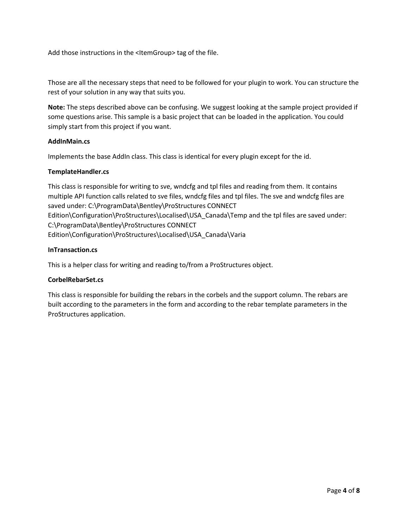Add those instructions in the <ItemGroup> tag of the file.

Those are all the necessary steps that need to be followed for your plugin to work. You can structure the rest of your solution in any way that suits you.

**Note:** The steps described above can be confusing. We suggest looking at the sample project provided if some questions arise. This sample is a basic project that can be loaded in the application. You could simply start from this project if you want.

#### **AddInMain.cs**

Implements the base AddIn class. This class is identical for every plugin except for the id.

#### **TemplateHandler.cs**

This class is responsible for writing to sve, wndcfg and tpl files and reading from them. It contains multiple API function calls related to sve files, wndcfg files and tpl files. The sve and wndcfg files are saved under: C:\ProgramData\Bentley\ProStructures CONNECT Edition\Configuration\ProStructures\Localised\USA\_Canada\Temp and the tpl files are saved under: C:\ProgramData\Bentley\ProStructures CONNECT Edition\Configuration\ProStructures\Localised\USA\_Canada\Varia

#### **InTransaction.cs**

This is a helper class for writing and reading to/from a ProStructures object.

#### **CorbelRebarSet.cs**

This class is responsible for building the rebars in the corbels and the support column. The rebars are built according to the parameters in the form and according to the rebar template parameters in the ProStructures application.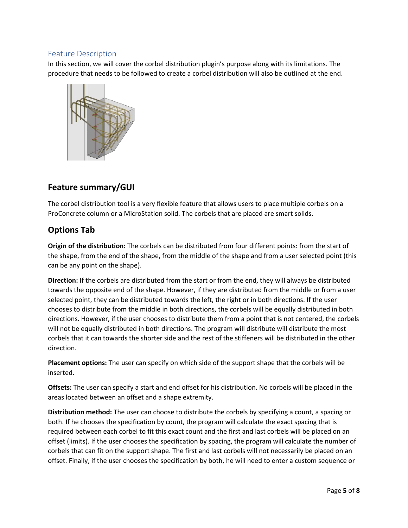### <span id="page-4-0"></span>Feature Description

In this section, we will cover the corbel distribution plugin's purpose along with its limitations. The procedure that needs to be followed to create a corbel distribution will also be outlined at the end.



## **Feature summary/GUI**

The corbel distribution tool is a very flexible feature that allows users to place multiple corbels on a ProConcrete column or a MicroStation solid. The corbels that are placed are smart solids.

## **Options Tab**

**Origin of the distribution:** The corbels can be distributed from four different points: from the start of the shape, from the end of the shape, from the middle of the shape and from a user selected point (this can be any point on the shape).

**Direction:** If the corbels are distributed from the start or from the end, they will always be distributed towards the opposite end of the shape. However, if they are distributed from the middle or from a user selected point, they can be distributed towards the left, the right or in both directions. If the user chooses to distribute from the middle in both directions, the corbels will be equally distributed in both directions. However, if the user chooses to distribute them from a point that is not centered, the corbels will not be equally distributed in both directions. The program will distribute will distribute the most corbels that it can towards the shorter side and the rest of the stiffeners will be distributed in the other direction.

**Placement options:** The user can specify on which side of the support shape that the corbels will be inserted.

**Offsets:** The user can specify a start and end offset for his distribution. No corbels will be placed in the areas located between an offset and a shape extremity.

**Distribution method:** The user can choose to distribute the corbels by specifying a count, a spacing or both. If he chooses the specification by count, the program will calculate the exact spacing that is required between each corbel to fit this exact count and the first and last corbels will be placed on an offset (limits). If the user chooses the specification by spacing, the program will calculate the number of corbels that can fit on the support shape. The first and last corbels will not necessarily be placed on an offset. Finally, if the user chooses the specification by both, he will need to enter a custom sequence or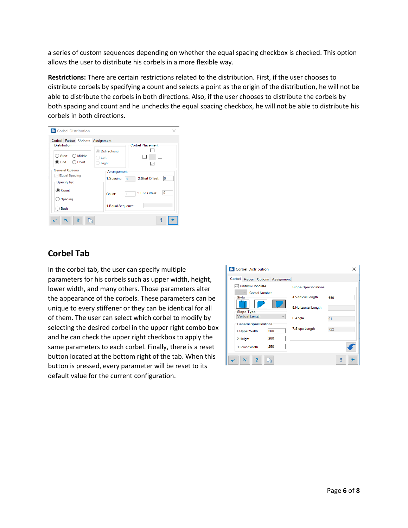a series of custom sequences depending on whether the equal spacing checkbox is checked. This option allows the user to distribute his corbels in a more flexible way.

**Restrictions:** There are certain restrictions related to the distribution. First, if the user chooses to distribute corbels by specifying a count and selects a point as the origin of the distribution, he will not be able to distribute the corbels in both directions. Also, if the user chooses to distribute the corbels by both spacing and count and he unchecks the equal spacing checkbox, he will not be able to distribute his corbels in both directions.

| <b><i>C</i></b> Corbel Distribution                                                                          |                                                                                  | ×  |
|--------------------------------------------------------------------------------------------------------------|----------------------------------------------------------------------------------|----|
| Corbel Rebar Options Assignment<br><b>Distribution</b><br><b>Start</b><br>◯ Middle<br>$\odot$ End<br>◯ Point | <b>Corbel Placement</b><br><b>Bidirectional</b><br>Left<br>Right<br>$\checkmark$ |    |
| <b>General Options</b><br>$\vee$ Equal Spacing<br>Specify by:                                                | Arrangement<br>2. Start Offset:<br>1. Spacing<br>$\overline{0}$                  | 0  |
| Count<br>$\bigcirc$ Spacing                                                                                  | 3.End Offset:<br>Count:<br>1                                                     | 10 |
| <b>Both</b><br>r,                                                                                            | 4. Equal Sequence:                                                               |    |
|                                                                                                              |                                                                                  |    |

## **Corbel Tab**

In the corbel tab, the user can specify multiple parameters for his corbels such as upper width, height, lower width, and many others. Those parameters alter the appearance of the corbels. These parameters can be unique to every stiffener or they can be identical for all of them. The user can select which corbel to modify by selecting the desired corbel in the upper right combo box and he can check the upper right checkbox to apply the same parameters to each corbel. Finally, there is a reset button located at the bottom right of the tab. When this button is pressed, every parameter will be reset to its default value for the current configuration.

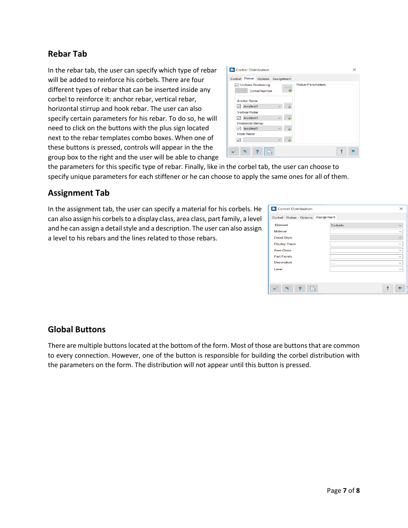## **Rebar Tab**

In the rebar tab, the user can specify which type of rebar will be added to reinforce his corbels. There are four different types of rebar that can be inserted inside any corbel to reinforce it: anchor rebar, vertical rebar, horizontal stirrup and hook rebar. The user can also specify certain parameters for his rebar. To do so, he will need to click on the buttons with the plus sign located next to the rebar templates combo boxes. When one of these buttons is pressed, controls will appear in the the group box to the right and the user will be able to change

| <b>In</b> Corbel Distribution                                                 | × |
|-------------------------------------------------------------------------------|---|
| Corbel Rebar Options Assignment                                               |   |
| <b>Uniform Reinforcing</b><br><b>Rebar Parameters</b><br><b>Corbel Number</b> |   |
| <b>Anchor Rebar</b>                                                           |   |
| test/test1<br>⊵                                                               |   |
| <b>Vertical Rebar</b>                                                         |   |
| test/test1<br>⊵                                                               |   |
| <b>Horizontal Stirrup</b>                                                     |   |
| test/test1<br>◡                                                               |   |
| <b>Hook Rebar</b>                                                             |   |
| ⊵                                                                             |   |
| ъ.                                                                            |   |

the parameters for this specific type of rebar. Finally, like in the corbel tab, the user can choose to specify unique parameters for each stiffener or he can choose to apply the same ones for all of them.

### **Assignment Tab**

In the assignment tab, the user can specify a material for his corbels. He can also assign his corbels to a display class, area class, part family, a level and he can assign a detail style and a description. The user can also assign a level to his rebars and the lines related to those rebars.

| <b>Corbel Distribution</b>         |         | $\times$     |
|------------------------------------|---------|--------------|
| Assignment<br>Corbel Rebar Options |         |              |
| Element                            | Corbels |              |
| <b>Material</b>                    |         |              |
| <b>Detail Style</b>                |         |              |
| <b>Display Class</b>               |         |              |
| <b>Area Class</b>                  |         | $\checkmark$ |
| <b>Part Family</b>                 |         |              |
| <b>Description</b>                 | ------  | $\checkmark$ |
| Level                              |         |              |
|                                    |         |              |
|                                    |         |              |
| Ъ.                                 |         |              |

## **Global Buttons**

There are multiple buttons located at the bottom of the form. Most of those are buttons that are common to every connection. However, one of the button is responsible for building the corbel distribution with the parameters on the form. The distribution will not appear until this button is pressed.